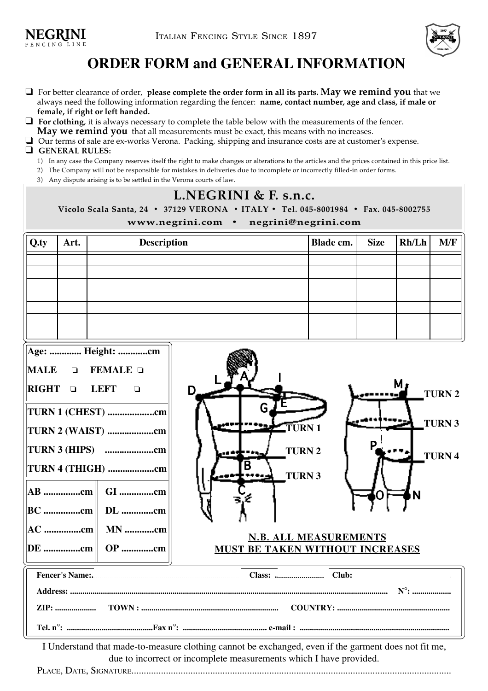

## **ORDER FORM and GENERAL INFORMATION**

- ! For better clearance of order, **please complete the order form in all its parts. May we remind you** that we always need the following information regarding the fencer: **name, contact number, age and class, if male or female, if right or left handed.**
- ! **For clothing**, it is always necessary to complete the table below with the measurements of the fencer.
	- **May we remind you** that all measurements must be exact, this means with no increases.
- $\Box$  Our terms of sale are ex-works Verona. Packing, shipping and insurance costs are at customer's expense.

## ! **GENERAL RULES:**

- 1) In any case the Company reserves itself the right to make changes or alterations to the articles and the prices contained in this price list.
- 2) The Company will not be responsible for mistakes in deliveries due to incomplete or incorrectly filled-in order forms.
- 3) Any dispute arising is to be settled in the Verona courts of law.

## **L.NEGRINI & F. s.n.c. Vicolo Scala Santa, 24 • 37129 VERONA • ITALY • Tel. 045-8001984 • Fax. 045-8002755 www.negrini.com • negrini@negrini.com**

| Q.ty | Art. | <b>Description</b> | Blade cm. | <b>Size</b> | Rh/Lh | M/F |
|------|------|--------------------|-----------|-------------|-------|-----|
|      |      |                    |           |             |       |     |
|      |      |                    |           |             |       |     |
|      |      |                    |           |             |       |     |
|      |      |                    |           |             |       |     |
|      |      |                    |           |             |       |     |
|      |      |                    |           |             |       |     |
|      |      |                    |           |             |       |     |

| Age:  Height: cm                            |                                        |  |  |  |  |  |  |
|---------------------------------------------|----------------------------------------|--|--|--|--|--|--|
| FEMALE $\Box$<br><b>MALE</b><br>П           |                                        |  |  |  |  |  |  |
| <b>RIGHT</b><br><b>LEFT</b><br>$\mathbf{I}$ | М,<br>D<br><b>TURN</b>                 |  |  |  |  |  |  |
| TURN 1 (CHEST) cm                           | G                                      |  |  |  |  |  |  |
| TURN 2 (WAIST) cm                           | <b>TURN</b><br><b>ETURN</b>            |  |  |  |  |  |  |
|                                             | <b>TURN</b><br><b>TURN</b>             |  |  |  |  |  |  |
| TURN 4 (THIGH) cm                           | B<br><b>TURN</b>                       |  |  |  |  |  |  |
| $AB$ cm<br>GI cm                            |                                        |  |  |  |  |  |  |
| DL cm<br>$ BC$ $cm $                        |                                        |  |  |  |  |  |  |
| $ AC$ $cm  $ MN $cm$                        | <b>N.B. ALL MEASUREMENTS</b>           |  |  |  |  |  |  |
| $ {\rm DE}$ cm<br><b>OP</b> cm              | <b>MUST BE TAKEN WITHOUT INCREASES</b> |  |  |  |  |  |  |
|                                             |                                        |  |  |  |  |  |  |
|                                             | $N^{\circ}$ :                          |  |  |  |  |  |  |
| <b>ZIP:</b>                                 |                                        |  |  |  |  |  |  |
|                                             |                                        |  |  |  |  |  |  |

I Understand that made-to-measure clothing cannot be exchanged, even if the garment does not fit me, due to incorrect or incomplete measurements which I have provided.

PLACE, DATE, SIGNATURE..................................................................................................................................